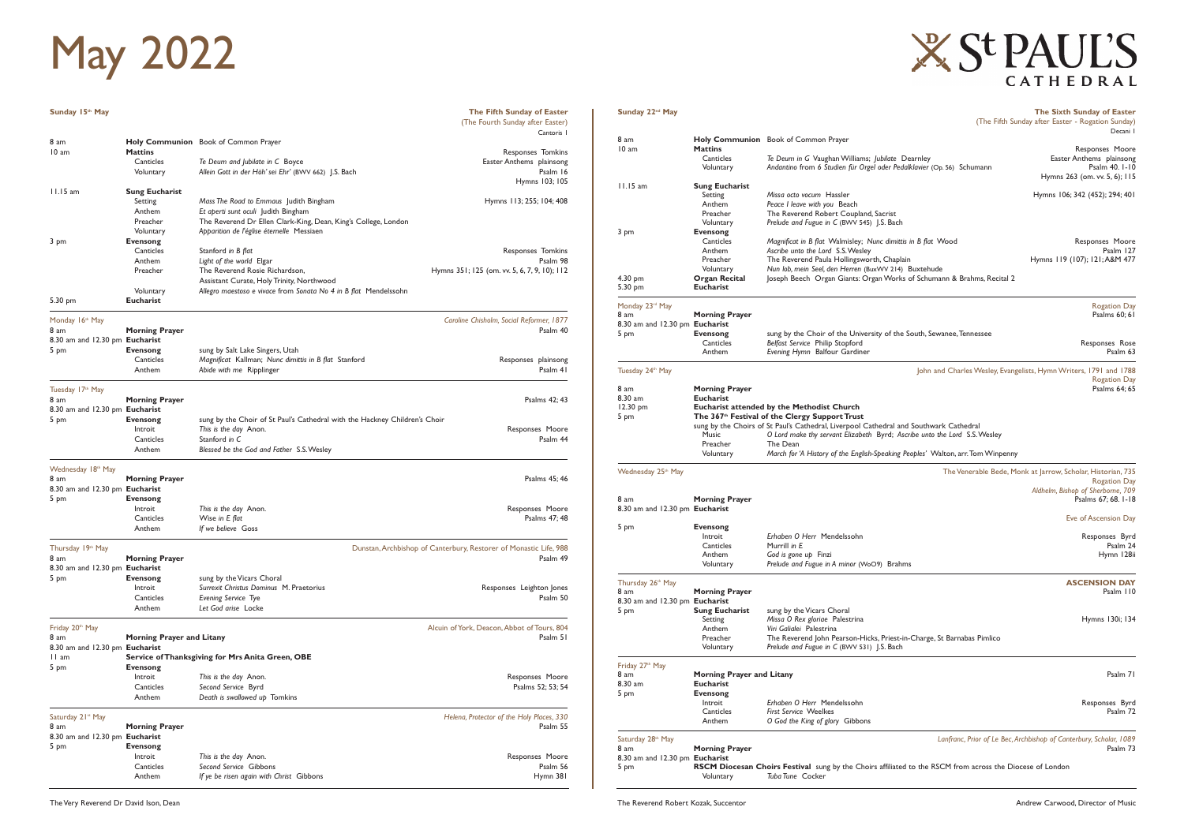| Sunday 15th May                |                                                  |                                                                                         | The Fifth Sunday of Easter                                                    |
|--------------------------------|--------------------------------------------------|-----------------------------------------------------------------------------------------|-------------------------------------------------------------------------------|
|                                |                                                  |                                                                                         | (The Fourth Sunday after Easter)<br>Cantoris I                                |
| 8 am                           |                                                  | Holy Communion Book of Common Prayer                                                    |                                                                               |
| 10 am                          | <b>Mattins</b><br>Canticles                      |                                                                                         | Responses Tomkins                                                             |
|                                |                                                  | Te Deum and Jubilate in C Boyce<br>Allein Gott in der Höh' sei Ehr' (BWV 662) [.S. Bach | Easter Anthems plainsong<br>Psalm 16                                          |
|                                | Voluntary                                        |                                                                                         | Hymns 103; 105                                                                |
| $11.15$ am                     | <b>Sung Eucharist</b>                            |                                                                                         |                                                                               |
|                                | Setting                                          | Mass The Road to Emmaus Judith Bingham                                                  | Hymns 113; 255; 104; 408                                                      |
|                                | Anthem                                           | Et aperti sunt oculi Judith Bingham                                                     |                                                                               |
|                                | Preacher                                         | The Reverend Dr Ellen Clark-King, Dean, King's College, London                          |                                                                               |
|                                | Voluntary                                        | Apparition de l'église éternelle Messiaen                                               |                                                                               |
| 3 pm                           | <b>Evensong</b>                                  |                                                                                         |                                                                               |
|                                | Canticles                                        | Stanford in B flat                                                                      | Responses Tomkins                                                             |
|                                | Anthem                                           | Light of the world Elgar                                                                | Psalm 98                                                                      |
|                                | Preacher                                         | The Reverend Rosie Richardson,                                                          | Hymns 351; 125 (om. vv. 5, 6, 7, 9, 10); 112                                  |
|                                |                                                  | Assistant Curate, Holy Trinity, Northwood                                               |                                                                               |
|                                | Voluntary                                        | Allegro maestoso e vivace from Sonata No 4 in B flat Mendelssohn                        |                                                                               |
| $5.30$ pm                      | <b>Eucharist</b>                                 |                                                                                         |                                                                               |
|                                |                                                  |                                                                                         |                                                                               |
| Monday 16th May                |                                                  |                                                                                         | Caroline Chisholm, Social Reformer, 1877                                      |
| 8 am                           | <b>Morning Prayer</b>                            |                                                                                         | Psalm 40                                                                      |
| 8.30 am and 12.30 pm Eucharist | Evensong                                         |                                                                                         |                                                                               |
| 5 pm                           | Canticles                                        | sung by Salt Lake Singers, Utah<br>Magnificat Kallman; Nunc dimittis in B flat Stanford |                                                                               |
|                                | Anthem                                           | Abide with me Ripplinger                                                                | Responses plainsong<br>Psalm 41                                               |
|                                |                                                  |                                                                                         |                                                                               |
| Tuesday 17th May               |                                                  |                                                                                         |                                                                               |
| 8 am                           | <b>Morning Prayer</b>                            |                                                                                         | Psalms 42; 43                                                                 |
| 8.30 am and 12.30 pm Eucharist |                                                  |                                                                                         |                                                                               |
| 5 pm                           | <b>Evensong</b>                                  | sung by the Choir of St Paul's Cathedral with the Hackney Children's Choir              |                                                                               |
|                                | Introit                                          | This is the day Anon.                                                                   | Responses Moore                                                               |
|                                | Canticles                                        | Stanford in C                                                                           | Psalm 44                                                                      |
|                                | Anthem                                           | Blessed be the God and Father S.S. Wesley                                               |                                                                               |
| Wednesday 18th May             |                                                  |                                                                                         |                                                                               |
| 8 am                           | <b>Morning Prayer</b>                            |                                                                                         | Psalms 45; 46                                                                 |
| 8.30 am and 12.30 pm Eucharist |                                                  |                                                                                         |                                                                               |
| 5 pm                           | <b>Evensong</b>                                  |                                                                                         |                                                                               |
|                                | Introit                                          | This is the day Anon.                                                                   | Responses Moore                                                               |
|                                | Canticles                                        | Wise in E flat                                                                          | Psalms 47; 48                                                                 |
|                                | Anthem                                           | If we believe Goss                                                                      |                                                                               |
|                                |                                                  |                                                                                         |                                                                               |
| Thursday 19th May<br>8 am      | <b>Morning Prayer</b>                            |                                                                                         | Dunstan, Archbishop of Canterbury, Restorer of Monastic Life, 988<br>Psalm 49 |
| 8.30 am and 12.30 pm Eucharist |                                                  |                                                                                         |                                                                               |
| 5 pm                           | <b>Evensong</b>                                  | sung by the Vicars Choral                                                               |                                                                               |
|                                | Introit                                          | Surrexit Christus Dominus M. Praetorius                                                 | Responses Leighton Jones                                                      |
|                                | Canticles                                        | Evening Service Tye                                                                     | Psalm 50                                                                      |
|                                | Anthem                                           | Let God arise Locke                                                                     |                                                                               |
|                                |                                                  |                                                                                         |                                                                               |
| Friday 20th May                |                                                  |                                                                                         | Alcuin of York, Deacon, Abbot of Tours, 804                                   |
| 8 am                           | <b>Morning Prayer and Litany</b>                 |                                                                                         | Psalm 51                                                                      |
| 8.30 am and 12.30 pm Eucharist |                                                  |                                                                                         |                                                                               |
| 11 am                          | Service of Thanksgiving for Mrs Anita Green, OBE |                                                                                         |                                                                               |
| 5 pm                           | <b>Evensong</b>                                  |                                                                                         |                                                                               |
|                                | Introit<br>Canticles                             | This is the day Anon.                                                                   | Responses Moore                                                               |
|                                | Anthem                                           | Second Service Byrd<br>Death is swallowed up Tomkins                                    | Psalms 52; 53; 54                                                             |
|                                |                                                  |                                                                                         |                                                                               |
| Saturday 21 <sup>st</sup> May  |                                                  |                                                                                         | Helena, Protector of the Holy Places, 330                                     |
| 8 am                           | <b>Morning Prayer</b>                            |                                                                                         | Psalm 55                                                                      |
| 8.30 am and 12.30 pm Eucharist |                                                  |                                                                                         |                                                                               |
| 5 pm                           | <b>Evensong</b>                                  |                                                                                         |                                                                               |
|                                | Introit                                          | This is the day Anon.                                                                   | Responses Moore                                                               |
|                                | Canticles                                        | Second Service Gibbons                                                                  | Psalm 56                                                                      |
|                                | Anthem                                           | If ye be risen again with Christ Gibbons                                                | Hymn 381                                                                      |
|                                |                                                  |                                                                                         |                                                                               |

8 am **Holy Communion** Book of Common Prayer

10 am **Mattins** Responses Moore Canticles *Te Deum in G Vaughan Williams*; *Jubilate Dearnley*<br>1909 Voluntary *Andantino from 6 Studien für Orgel oder Pedalklavier (Op. 56)* Schumann *Pealm 40. I-10* Andantino from 6 Studien für Orgel oder Pedalklavier<sup> (Op. 56)</sup> Schumann Framer, Sung Eucharist (1992), The Contract of the Contract of the Sung Eucharist (1993), Sung Eucharist (1993), Sung Eucharist (1994), Sung Eucharist (1994), Sung Eucharist (1994), Sung Eucharist (1994), Sung Eucharist (1 **Sung Eucharist** Setting *Missa octo vocum* Hassler **Missa octo vocum Hassler** Hymns 106; 342 (452); 294; 401<br>Anthem *Peace I leave with you* Beach Peace *I leave with you* Beach Preacher The Reverend Robert Coupland, Sacrist<br>Voluntary Prelude and Fugue in C (BWV 545) J.S. Bac Voluntary *Prelude and Fugue in C* (BWV 545) J.S. Bach Evensong Canticles *Magnificat in B flat* Walmisley; *Nunc dimittis in B flat* Wood<br>21 Anthem *Ascribe unto the Lord* S.S. Wesley Anthem *Ascribe unto the Lord* S.S. Wesley Psalm 127 The Reverend Paula Hollingsworth, Chaplain Voluntary *Nun lob, mein Seel, den Herren* (BuxWV 214) Buxtehude<br>4.30 pm **Organ Recital** Joseph Beech Organ Giants: Organ Works of Schuman 4.30 pm **Organ Recital** Joseph Beech Organ Giants: Organ Works of Schumann & Brahms, Recital 2 Eucharist Monday 23rd May Rogation Day 8 am **Morning Prayer 1986 Morning Prayer 1986 More in the set of the set of the Second American Second Second Psalms 60; 61 and 2012 <b>More in the Second America** Psalms 60; 61 8.30 am and 12.30 pm **Eucharist** 5 pm **Evensong** sung by the Choir of the University of the South, Sewanee, Tennessee<br>Canticles Belfast Service Philip Stopford Canticles *Belfast Service* Philip Stopford Responses Rose **Evening Hymn** Balfour Gardiner Tuesday 24<sup>th</sup> May 1788 Tuesday 24<sup>th</sup> May John and Charles Wesley, Evangelists, Hymn Writers, 1791 and 1788 Rogation Day<br>Psalms 64; 65 8 am **Morning Prayer 6.30 am Eucharist** Eucharist 12.30 pm **Eucharist attended by the Methodist Church** 5 pm **The 367th Festival of the Clergy Support Trust**  sung by the Choirs of St Paul's Cathedral, Liverpool Cathedral and Southwark Cathedral Music *O Lord make thy servant Elizabeth* Byrd; *Ascribe unto the Lord* S.S. Wesley Preacher Voluntary *March for 'A History of the English-Speaking Peoples'* Walton, arr. Tom Winpenny Wednesday 25<sup>th</sup> May The Venerable Bede, Monk at Jarrow, Scholar, Historian, 735 Rogation Day *Aldhelm, Bishop of Sherborne, 709* 8 am **Morning Prayer** Psalms 67; 68. 1-18 8.30 am and 12.30 pm **Eucharist**  Eve of Ascension Day 5 pm **Evensong** Introit *Erhaben O Herr* Mendelssohn Responses Byrd Canticles Murrill *in E* Psalm 24 Anthem *God is gone up* Finzi **Finzi** Anthen *God is gone up* Finzi Finzi distribution of the Hymn 128ii **Hymn 128ii**<br>
Voluntary *Prelude and Fusue in A minor (WoO9*) Brahms Prelude and Fugue in A minor (WoO9) Brahms Thursday 26<sup>th</sup> May **ASCENSION DAY**<br>8 am **Morning Prayer ASCENSION DAY Basim IIO** 8 am **Morning Prayer** Psalm 110 8.30 am and 12.30 pm **Eucharist 5 Eucharist Sung by the Vicars Choral**<br>**Setting** *Missa O Rex glorige* Palest Setting *Missa O Rex gloriae* Palestrina Hymns 130i; 134 Anthem *Viri Galialei* Palestrina Preacher The Reverend John Pearson-Hicks, Priest-in-Charge, St Barnabas Pimlico<br>Voluntary Prelude and Fugue in C (BVV 531) 1.S. Bach Prelude and Fugue in C (BWV 531) J.S. Bach Friday 27<sup>th</sup> May 8 am **Morning Prayer and Litany Bank and State and Austine Control of the Second Property of the Psalm 71 (8.30 am Castle Property Austine Property Austine Property Australian Property Australian Property Australian Prop** 8.30 am **Eucharist** 5 pm **Evensong** Introit *Erhaben O Herr* Mendelssohn Responses Byrd **First Service Weelkes** Anthem *O God the King of glory* Gibbons

Saturday 28th May *Lanfranc, Prior of Le Bec, Archbishop of Canterbury, Scholar, 1089* 8 am **Morning Prayer Philippe Prayer and 12.30 pm Eucharist** Psalm 73<br>8.30 am and 12.30 pm **Eucharist** 8.30 am and 12.30 pm RSCM Diocesan Choirs Festival sung by the Choirs affiliated to the RSCM from across the Diocese of London Voluntary *Tuba Tune* Cocker

## **X St PAUL'S** CATHEDRAL

**Sunday 22<sup>nd</sup> May The Sixth Sunday of Easter and Sunday of Easter and Sunday of Easter and Sunday of Easter and Sunday of Easter and Sunday of Easter and Sunday of Easter and Sunday of Easter and Sunday of Easter and Sund** (The Fifth Sunday after Easter - Rogation Sunday) Decani I

## May 2022